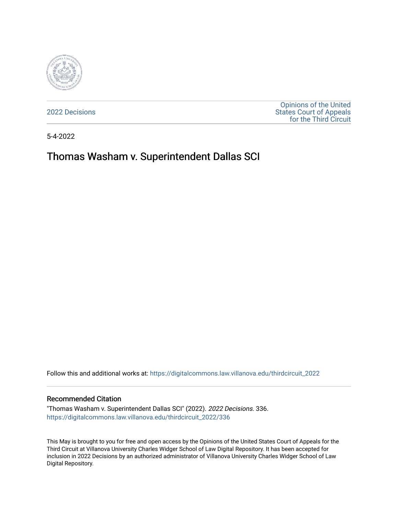

[2022 Decisions](https://digitalcommons.law.villanova.edu/thirdcircuit_2022)

[Opinions of the United](https://digitalcommons.law.villanova.edu/thirdcircuit)  [States Court of Appeals](https://digitalcommons.law.villanova.edu/thirdcircuit)  [for the Third Circuit](https://digitalcommons.law.villanova.edu/thirdcircuit) 

5-4-2022

# Thomas Washam v. Superintendent Dallas SCI

Follow this and additional works at: [https://digitalcommons.law.villanova.edu/thirdcircuit\\_2022](https://digitalcommons.law.villanova.edu/thirdcircuit_2022?utm_source=digitalcommons.law.villanova.edu%2Fthirdcircuit_2022%2F336&utm_medium=PDF&utm_campaign=PDFCoverPages) 

#### Recommended Citation

"Thomas Washam v. Superintendent Dallas SCI" (2022). 2022 Decisions. 336. [https://digitalcommons.law.villanova.edu/thirdcircuit\\_2022/336](https://digitalcommons.law.villanova.edu/thirdcircuit_2022/336?utm_source=digitalcommons.law.villanova.edu%2Fthirdcircuit_2022%2F336&utm_medium=PDF&utm_campaign=PDFCoverPages)

This May is brought to you for free and open access by the Opinions of the United States Court of Appeals for the Third Circuit at Villanova University Charles Widger School of Law Digital Repository. It has been accepted for inclusion in 2022 Decisions by an authorized administrator of Villanova University Charles Widger School of Law Digital Repository.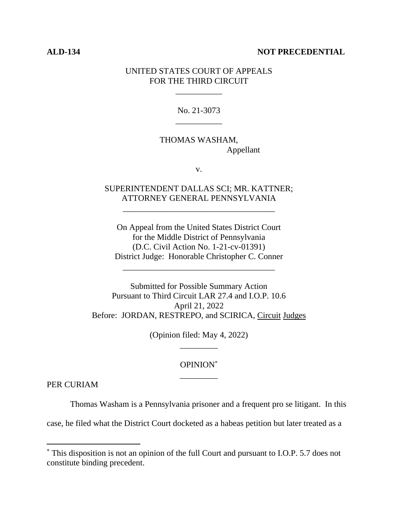#### **ALD-134 NOT PRECEDENTIAL**

#### UNITED STATES COURT OF APPEALS FOR THE THIRD CIRCUIT

\_\_\_\_\_\_\_\_\_\_\_

No. 21-3073 \_\_\_\_\_\_\_\_\_\_\_

## THOMAS WASHAM, Appellant

v.

### SUPERINTENDENT DALLAS SCI; MR. KATTNER; ATTORNEY GENERAL PENNSYLVANIA

\_\_\_\_\_\_\_\_\_\_\_\_\_\_\_\_\_\_\_\_\_\_\_\_\_\_\_\_\_\_\_\_\_\_\_\_

On Appeal from the United States District Court for the Middle District of Pennsylvania (D.C. Civil Action No. 1-21-cv-01391) District Judge: Honorable Christopher C. Conner

\_\_\_\_\_\_\_\_\_\_\_\_\_\_\_\_\_\_\_\_\_\_\_\_\_\_\_\_\_\_\_\_\_\_\_\_

Submitted for Possible Summary Action Pursuant to Third Circuit LAR 27.4 and I.O.P. 10.6 April 21, 2022 Before: JORDAN, RESTREPO, and SCIRICA, Circuit Judges

> (Opinion filed: May 4, 2022) \_\_\_\_\_\_\_\_\_

# OPINION\* \_\_\_\_\_\_\_\_\_

PER CURIAM

Thomas Washam is a Pennsylvania prisoner and a frequent pro se litigant. In this

case, he filed what the District Court docketed as a habeas petition but later treated as a

<sup>\*</sup> This disposition is not an opinion of the full Court and pursuant to I.O.P. 5.7 does not constitute binding precedent.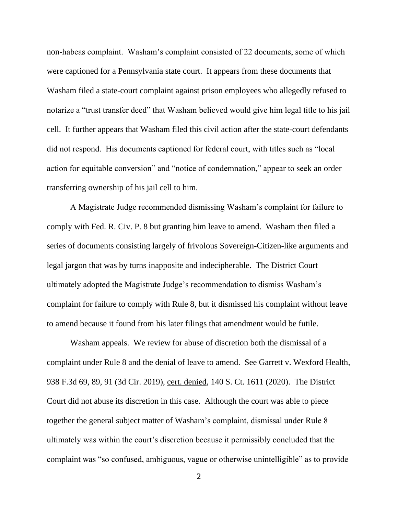non-habeas complaint. Washam's complaint consisted of 22 documents, some of which were captioned for a Pennsylvania state court. It appears from these documents that Washam filed a state-court complaint against prison employees who allegedly refused to notarize a "trust transfer deed" that Washam believed would give him legal title to his jail cell. It further appears that Washam filed this civil action after the state-court defendants did not respond. His documents captioned for federal court, with titles such as "local action for equitable conversion" and "notice of condemnation," appear to seek an order transferring ownership of his jail cell to him.

A Magistrate Judge recommended dismissing Washam's complaint for failure to comply with Fed. R. Civ. P. 8 but granting him leave to amend. Washam then filed a series of documents consisting largely of frivolous Sovereign-Citizen-like arguments and legal jargon that was by turns inapposite and indecipherable. The District Court ultimately adopted the Magistrate Judge's recommendation to dismiss Washam's complaint for failure to comply with Rule 8, but it dismissed his complaint without leave to amend because it found from his later filings that amendment would be futile.

Washam appeals. We review for abuse of discretion both the dismissal of a complaint under Rule 8 and the denial of leave to amend. See Garrett v. Wexford Health, 938 F.3d 69, 89, 91 (3d Cir. 2019), cert. denied, 140 S. Ct. 1611 (2020). The District Court did not abuse its discretion in this case. Although the court was able to piece together the general subject matter of Washam's complaint, dismissal under Rule 8 ultimately was within the court's discretion because it permissibly concluded that the complaint was "so confused, ambiguous, vague or otherwise unintelligible" as to provide

 $\mathcal{L}$